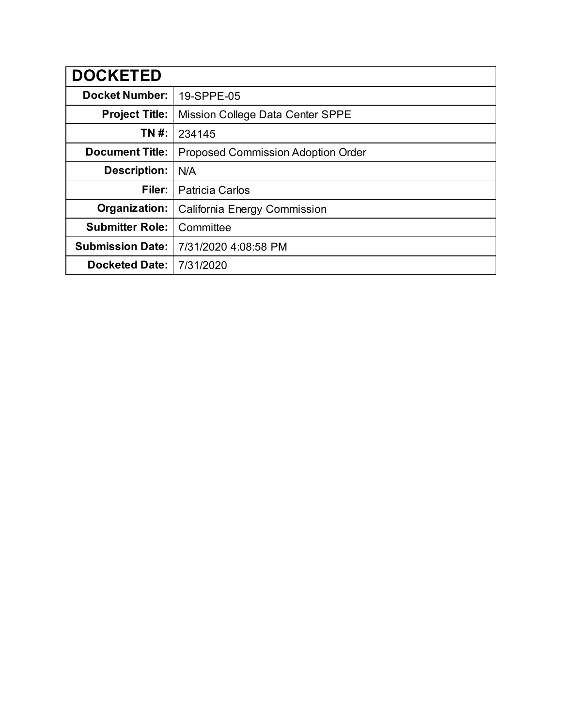| <b>DOCKETED</b>         |                                           |
|-------------------------|-------------------------------------------|
| <b>Docket Number:</b>   | 19-SPPE-05                                |
| <b>Project Title:</b>   | Mission College Data Center SPPE          |
| TN #:                   | 234145                                    |
| <b>Document Title:</b>  | <b>Proposed Commission Adoption Order</b> |
| Description:            | N/A                                       |
| Filer:                  | <b>Patricia Carlos</b>                    |
| Organization:           | <b>California Energy Commission</b>       |
| <b>Submitter Role:</b>  | Committee                                 |
| <b>Submission Date:</b> | 7/31/2020 4:08:58 PM                      |
| <b>Docketed Date:</b>   | 7/31/2020                                 |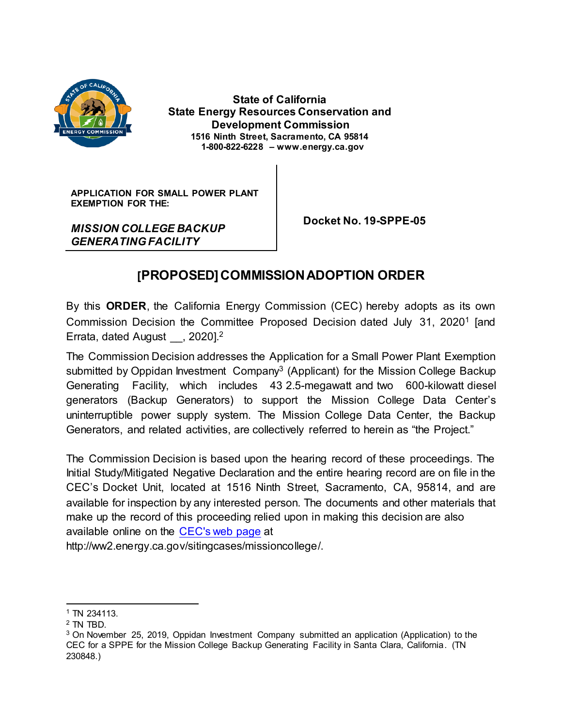

 **State of California State Energy Resources Conservation and Development Commission 1516 Ninth Street, Sacramento, CA 95814 1-800-822-6228 – www.energy.ca.gov**

**APPLICATION FOR SMALL POWER PLANT EXEMPTION FOR THE:**

*MISSION COLLEGE BACKUP GENERATING FACILITY*

 **Docket No. 19-SPPE-05**

## **[PROPOSED] COMMISSION ADOPTION ORDER**

By this **ORDER**, the California Energy Commission (CEC) hereby adopts as its own Commission Decision the Committee Proposed Decision dated July 31, 2020<sup>1</sup> [and Errata, dated August , 2020].<sup>2</sup>

The Commission Decision addresses the Application for a Small Power Plant Exemption submitted by Oppidan Investment Company<sup>3</sup> (Applicant) for the Mission College Backup Generating Facility, which includes 43 2.5-megawatt and two 600-kilowatt diesel generators (Backup Generators) to support the Mission College Data Center's uninterruptible power supply system. The Mission College Data Center, the Backup Generators, and related activities, are collectively referred to herein as "the Project."

The Commission Decision is based upon the hearing record of these proceedings. The Initial Study/Mitigated Negative Declaration and the entire hearing record are on file in the CEC's Docket Unit, located at 1516 Ninth Street, Sacramento, CA, 95814, and are available for inspection by any interested person. The documents and other materials that make up the record of this proceeding relied upon in making this decision are also available online on the [CEC's web page](http://ww2.energy.ca.gov/sitingcases/missioncollege) at

http://ww2.energy.ca.gov/sitingcases/missioncollege/.

<sup>1</sup> TN 234113.

<sup>2</sup> TN TBD.

<sup>3</sup> On November 25, 2019, Oppidan Investment Company submitted an application (Application) to the CEC for a SPPE for the Mission College Backup Generating Facility in Santa Clara, California. (TN 230848.)